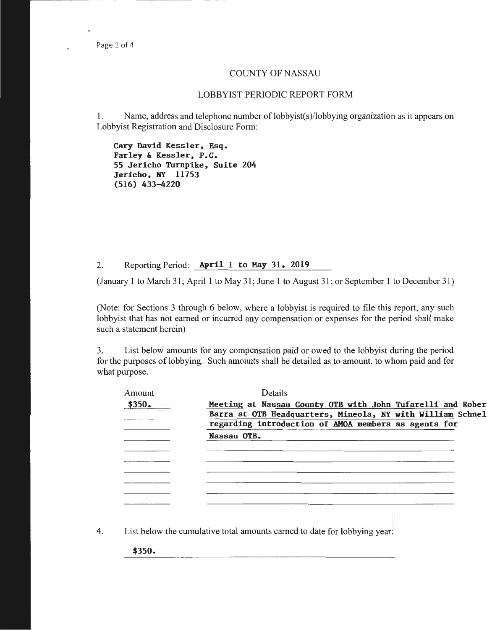## COUNTY OF NASSAU

## LOBBYIST PERIODIC REPORT FORM

1. Name, address and telephone number of lobbyist(s)/lobbying organization as it appears on Lobbyist Registration and Disclosure Form:

**Cary David Kessler, Esq. Farley & Kessler, P.C.**  *55* **Jericho Turnpike, Suite 204 Jericho, NY 11753 (516) 433-4220** 

2. Reporting Period: **April 1 to May 31, 2019** 

(January 1 to March 31 ; April 1 to May 31; June 1 to August 31 ; or September **1** to December 31)

(Note: for Sections 3 through 6 below, where a lobbyist is required to file this report, any such lobbyist that has not earned or incurred any compensation or expenses for the period shall make such a statement herein)

3. List below amounts for any compensation paid or owed to the lobbyist during the period for the purposes of lobbying. Such amounts shall be detailed as to amount, to whom paid and for what purpose.

| Amount | Details                                                    |
|--------|------------------------------------------------------------|
| \$350. | Meeting at Nassau County OTB with John Tufarelli and Rober |
|        | Barra at OTB Headquarters, Mineola, NY with William Schnel |
|        | regarding introduction of AMOA members as agents for       |
|        | Nassau OTB.                                                |
|        |                                                            |
|        |                                                            |
|        |                                                            |
|        |                                                            |
|        |                                                            |
|        |                                                            |
|        |                                                            |

4. List below the cumulative total amounts earned to date for lobbying year:

**\$350.**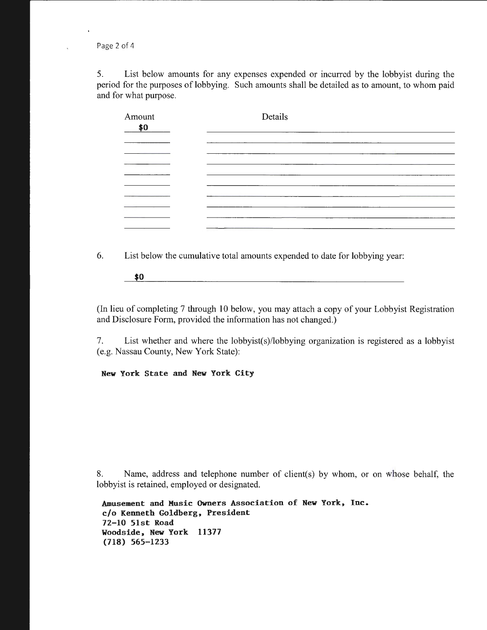Page 2 of 4

 $\ddot{\phantom{1}}$ 

5. List below amounts for any expenses expended or incurred by the lobbyist during the period for the purposes of lobbying. Such amounts shall be detailed as to amount, to whom paid and for what purpose.

| Amount<br>\$0 | Details |  |
|---------------|---------|--|
|               |         |  |
|               |         |  |
|               |         |  |
|               |         |  |
|               |         |  |
|               |         |  |
|               |         |  |

6. List below the cumulative total amounts expended to date for lobbying year:

<u> 1980 - Johann Barn, mars ar breithinn ar chuid ann an t-</u> **\$0** 

(In lieu of completing 7 through 10 below, you may attach a copy of your Lobbyist Registration and Disclosure Form, provided the information has not changed.)

7. List whether and where the lobbyist(s)/lobbying organization is registered as a lobbyist (e.g. Nassau County, New York State):

**New York State and New York City** 

8. Name, address and telephone number of client(s) by whom, or on whose behalf, the lobbyist is retained, employed or designated.

```
Amusement and Music Owners Association of New York, Inc. 
c/o Kenneth Goldberg, President 
72-10 51st Road 
Woodside, New York 11377 
{118) 565-1233
```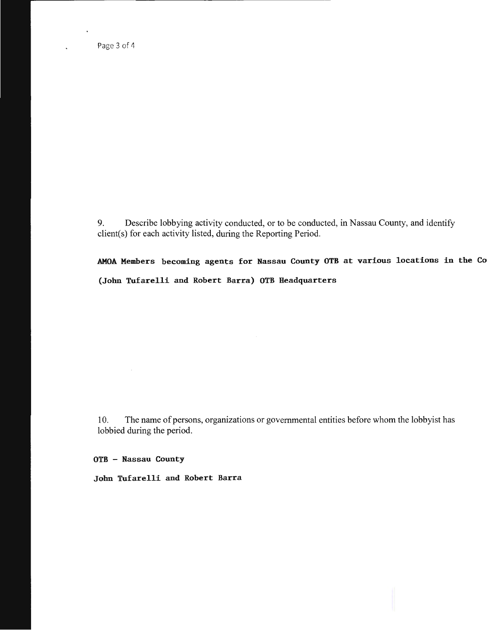Page 3 of 4

 $\ddot{\phantom{0}}$ 

9. Describe lobbying activity conducted, or to be conducted, in Nassau County, and identify client(s) for each activity listed, during the Reporting Period.

AKOA Members becoming agents for Nassau County OTB at various locations in the Co (John Tufarelli and Robert Barra) OTB Headquarters

10. The name of persons, organizations or governmental entities before whom the lobbyist has lobbied during the period.

OTB - Nassau County

John Tufarelli and Robert Barra